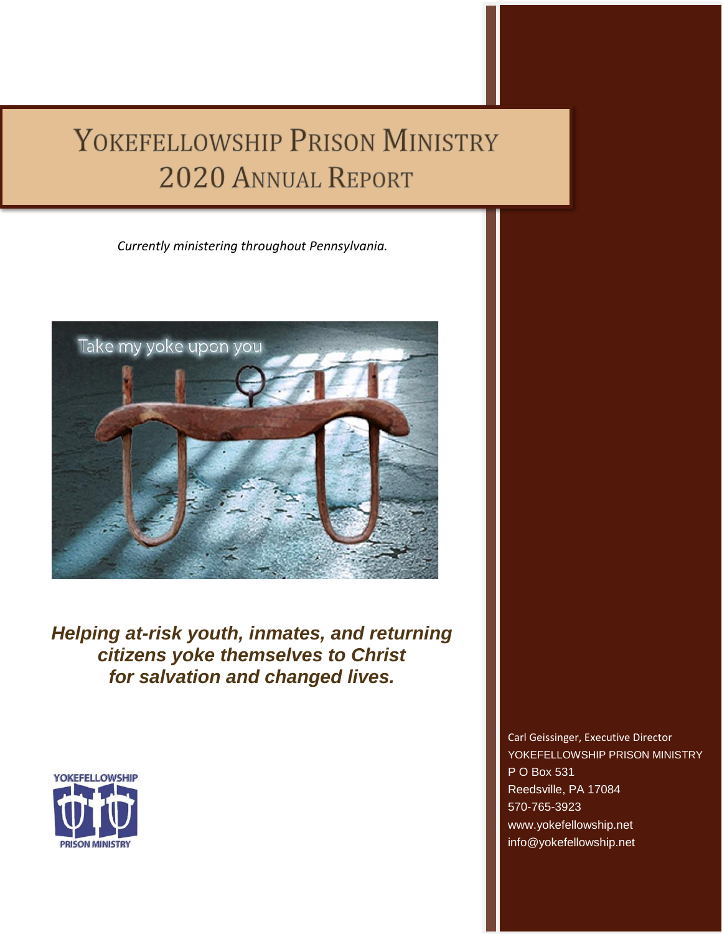## YOKEFELLOWSHIP PRISON MINISTRY 2020 ANNUAL REPORT

*Currently ministering throughout Pennsylvania.*



*Helping at-risk youth, inmates, and returning citizens yoke themselves to Christ for salvation and changed lives.*



Ī

ì

Carl Geissinger, Executive Director YOKEFELLOWSHIP PRISON MINISTRY P O Box 531 Reedsville, PA 17084 570-765-3923 [www.yokefellowship.net](http://www.yokefellowship.net/) info@yokefellowship.net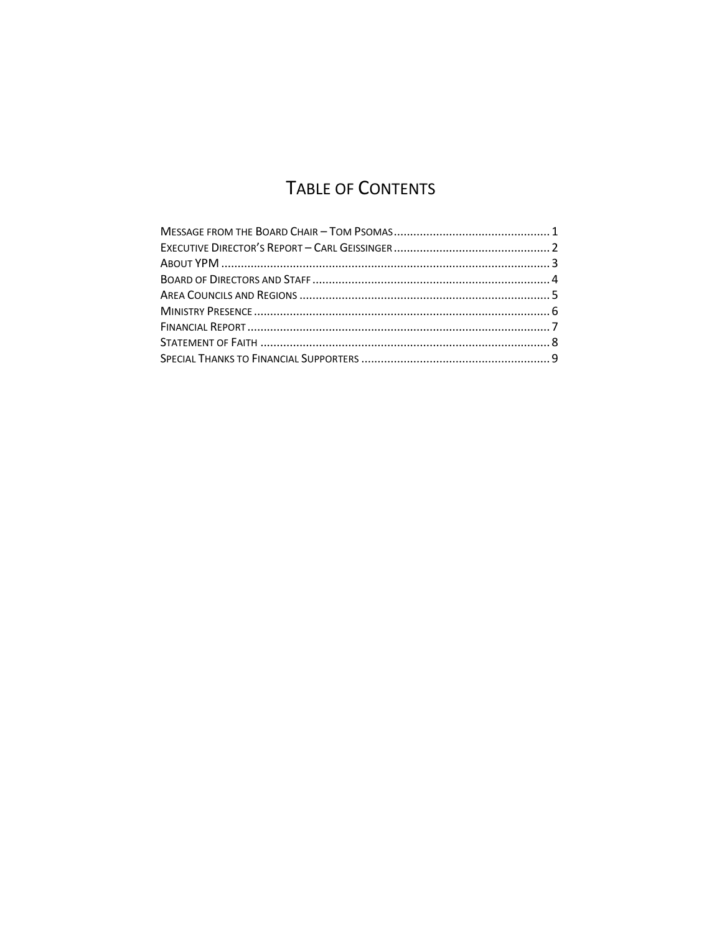## TABLE OF CONTENTS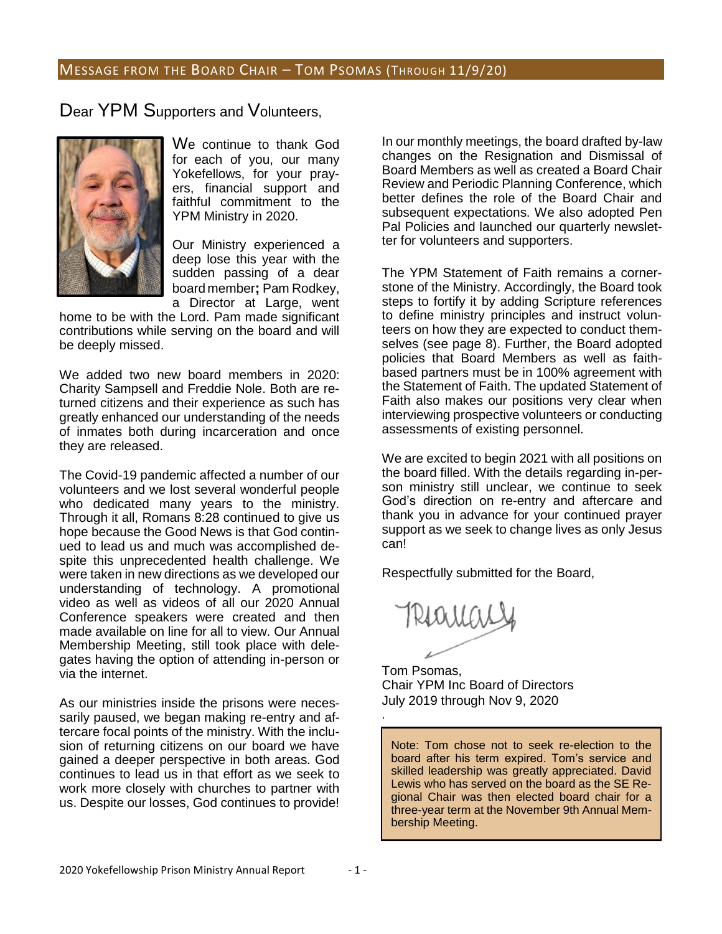#### MESSAGE FROM THE BOARD CHAIR – TOM PSOMAS (THROUGH 11/9/20)

Dear YPM Supporters and Volunteers,



We continue to thank God for each of you, our many Yokefellows, for your prayers, financial support and faithful commitment to the YPM Ministry in 2020.

Our Ministry experienced a deep lose this year with the sudden passing of a dear board member**;** Pam Rodkey, a Director at Large, went

home to be with the Lord. Pam made significant contributions while serving on the board and will be deeply missed.

We added two new board members in 2020: Charity Sampsell and Freddie Nole. Both are returned citizens and their experience as such has greatly enhanced our understanding of the needs of inmates both during incarceration and once they are released.

The Covid-19 pandemic affected a number of our volunteers and we lost several wonderful people who dedicated many years to the ministry. Through it all, Romans 8:28 continued to give us hope because the Good News is that God continued to lead us and much was accomplished despite this unprecedented health challenge. We were taken in new directions as we developed our understanding of technology. A promotional video as well as videos of all our 2020 Annual Conference speakers were created and then made available on line for all to view. Our Annual Membership Meeting, still took place with delegates having the option of attending in-person or via the internet.

As our ministries inside the prisons were necessarily paused, we began making re-entry and aftercare focal points of the ministry. With the inclusion of returning citizens on our board we have gained a deeper perspective in both areas. God continues to lead us in that effort as we seek to work more closely with churches to partner with us. Despite our losses, God continues to provide!

In our monthly meetings, the board drafted by-law changes on the Resignation and Dismissal of Board Members as well as created a Board Chair Review and Periodic Planning Conference, which better defines the role of the Board Chair and subsequent expectations. We also adopted Pen Pal Policies and launched our quarterly newsletter for volunteers and supporters.

The YPM Statement of Faith remains a cornerstone of the Ministry. Accordingly, the Board took steps to fortify it by adding Scripture references to define ministry principles and instruct volunteers on how they are expected to conduct themselves (see page 8). Further, the Board adopted policies that Board Members as well as faithbased partners must be in 100% agreement with the Statement of Faith. The updated Statement of Faith also makes our positions very clear when interviewing prospective volunteers or conducting assessments of existing personnel.

We are excited to begin 2021 with all positions on the board filled. With the details regarding in-person ministry still unclear, we continue to seek God's direction on re-entry and aftercare and thank you in advance for your continued prayer support as we seek to change lives as only Jesus can!

Respectfully submitted for the Board,

.

Tom Psomas, Chair YPM Inc Board of Directors July 2019 through Nov 9, 2020

Note: Tom chose not to seek re-election to the board after his term expired. Tom's service and skilled leadership was greatly appreciated. David Lewis who has served on the board as the SE Regional Chair was then elected board chair for a three-year term at the November 9th Annual Membership Meeting.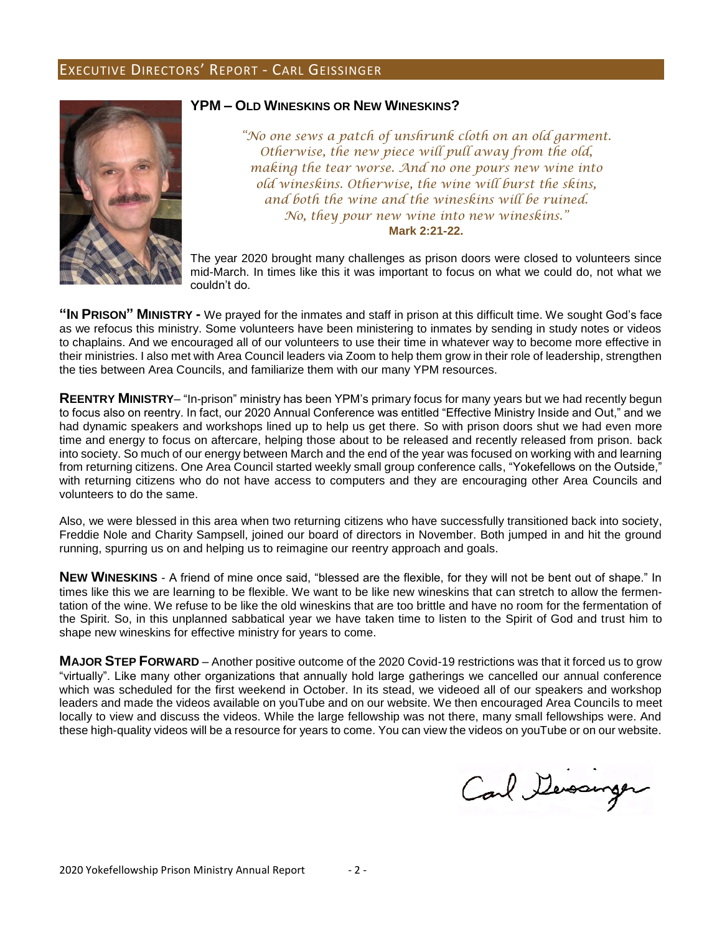#### EXECUTIVE DIRECTORS' REPORT - CARL GEISSINGER



#### **YPM – OLD WINESKINS OR NEW WINESKINS?**

*"No one sews a patch of unshrunk cloth on an old garment. Otherwise, the new piece will pull away from the old, making the tear worse. And no one pours new wine into old wineskins. Otherwise, the wine will burst the skins, and both the wine and the wineskins will be ruined. No, they pour new wine into new wineskins."* **Mark 2:21-22.**

The year 2020 brought many challenges as prison doors were closed to volunteers since mid-March. In times like this it was important to focus on what we could do, not what we couldn't do.

**"IN PRISON" MINISTRY -** We prayed for the inmates and staff in prison at this difficult time. We sought God's face as we refocus this ministry. Some volunteers have been ministering to inmates by sending in study notes or videos to chaplains. And we encouraged all of our volunteers to use their time in whatever way to become more effective in their ministries. I also met with Area Council leaders via Zoom to help them grow in their role of leadership, strengthen the ties between Area Councils, and familiarize them with our many YPM resources.

**REENTRY MINISTRY**– "In-prison" ministry has been YPM's primary focus for many years but we had recently begun to focus also on reentry. In fact, our 2020 Annual Conference was entitled "Effective Ministry Inside and Out," and we had dynamic speakers and workshops lined up to help us get there. So with prison doors shut we had even more time and energy to focus on aftercare, helping those about to be released and recently released from prison. back into society. So much of our energy between March and the end of the year was focused on working with and learning from returning citizens. One Area Council started weekly small group conference calls, "Yokefellows on the Outside," with returning citizens who do not have access to computers and they are encouraging other Area Councils and volunteers to do the same.

Also, we were blessed in this area when two returning citizens who have successfully transitioned back into society, Freddie Nole and Charity Sampsell, joined our board of directors in November. Both jumped in and hit the ground running, spurring us on and helping us to reimagine our reentry approach and goals.

**NEW WINESKINS** - A friend of mine once said, "blessed are the flexible, for they will not be bent out of shape." In times like this we are learning to be flexible. We want to be like new wineskins that can stretch to allow the fermentation of the wine. We refuse to be like the old wineskins that are too brittle and have no room for the fermentation of the Spirit. So, in this unplanned sabbatical year we have taken time to listen to the Spirit of God and trust him to shape new wineskins for effective ministry for years to come.

**MAJOR STEP FORWARD** – Another positive outcome of the 2020 Covid-19 restrictions was that it forced us to grow "virtually". Like many other organizations that annually hold large gatherings we cancelled our annual conference which was scheduled for the first weekend in October. In its stead, we videoed all of our speakers and workshop leaders and made the videos available on youTube and on our website. We then encouraged Area Councils to meet locally to view and discuss the videos. While the large fellowship was not there, many small fellowships were. And these high-quality videos will be a resource for years to come. You can view the videos on youTube or on our website.

Carl Devourger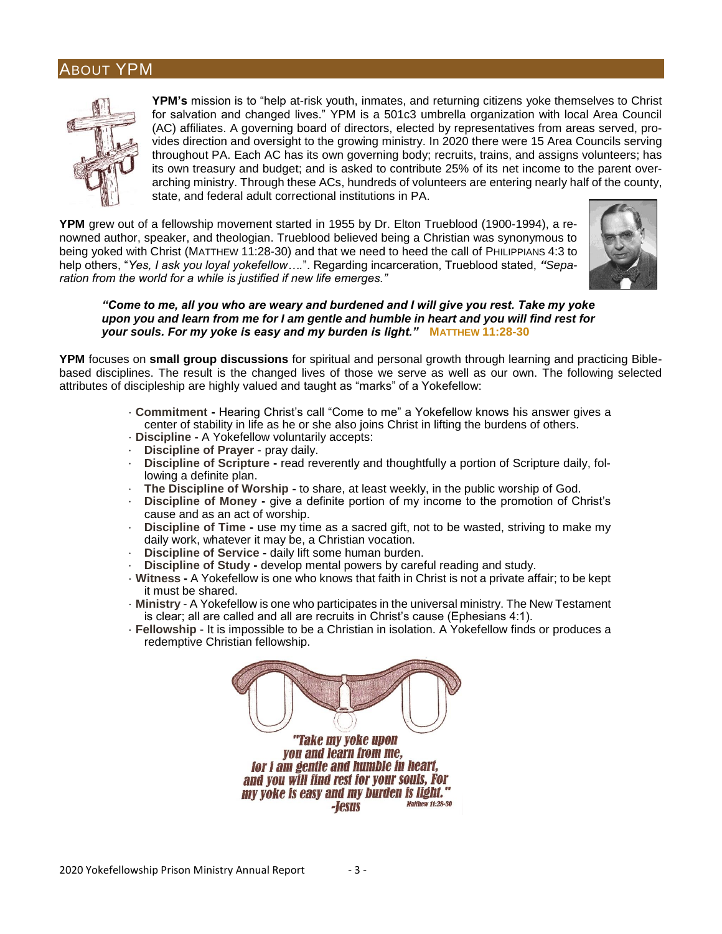#### ABOUT YPM



**YPM's** mission is to "help at-risk youth, inmates, and returning citizens yoke themselves to Christ for salvation and changed lives." YPM is a 501c3 umbrella organization with local Area Council (AC) affiliates. A governing board of directors, elected by representatives from areas served, provides direction and oversight to the growing ministry. In 2020 there were 15 Area Councils serving throughout PA. Each AC has its own governing body; recruits, trains, and assigns volunteers; has its own treasury and budget; and is asked to contribute 25% of its net income to the parent overarching ministry. Through these ACs, hundreds of volunteers are entering nearly half of the county, state, and federal adult correctional institutions in PA.

**YPM** grew out of a fellowship movement started in 1955 by Dr. Elton Trueblood (1900-1994), a renowned author, speaker, and theologian. Trueblood believed being a Christian was synonymous to being yoked with Christ (MATTHEW 11:28-30) and that we need to heed the call of PHILIPPIANS 4:3 to help others, "*Yes, I ask you loyal yokefellow….*". Regarding incarceration, Trueblood stated, *"Separation from the world for a while is justified if new life emerges."*



#### *"Come to me, all you who are weary and burdened and I will give you rest. Take my yoke upon you and learn from me for I am gentle and humble in heart and you will find rest for your souls. For my yoke is easy and my burden is light."* **MATTHEW 11:28-30**

**YPM** focuses on **small group discussions** for spiritual and personal growth through learning and practicing Biblebased disciplines. The result is the changed lives of those we serve as well as our own. The following selected attributes of discipleship are highly valued and taught as "marks" of a Yokefellow:

- · **Commitment -** Hearing Christ's call "Come to me" a Yokefellow knows his answer gives a center of stability in life as he or she also joins Christ in lifting the burdens of others.
- · **Discipline -** A Yokefellow voluntarily accepts:
- · **Discipline of Prayer** pray daily.
- · **Discipline of Scripture -** read reverently and thoughtfully a portion of Scripture daily, following a definite plan.
- · **The Discipline of Worship -** to share, at least weekly, in the public worship of God.
- · **Discipline of Money -** give a definite portion of my income to the promotion of Christ's cause and as an act of worship.
- · **Discipline of Time -** use my time as a sacred gift, not to be wasted, striving to make my daily work, whatever it may be, a Christian vocation.
- **Discipline of Service daily lift some human burden.**
- · **Discipline of Study -** develop mental powers by careful reading and study.
- · **Witness -** A Yokefellow is one who knows that faith in Christ is not a private affair; to be kept it must be shared.
- · **Ministry** A Yokefellow is one who participates in the universal ministry. The New Testament is clear; all are called and all are recruits in Christ's cause (Ephesians 4:1).
- · **Fellowship** It is impossible to be a Christian in isolation. A Yokefellow finds or produces a redemptive Christian fellowship.

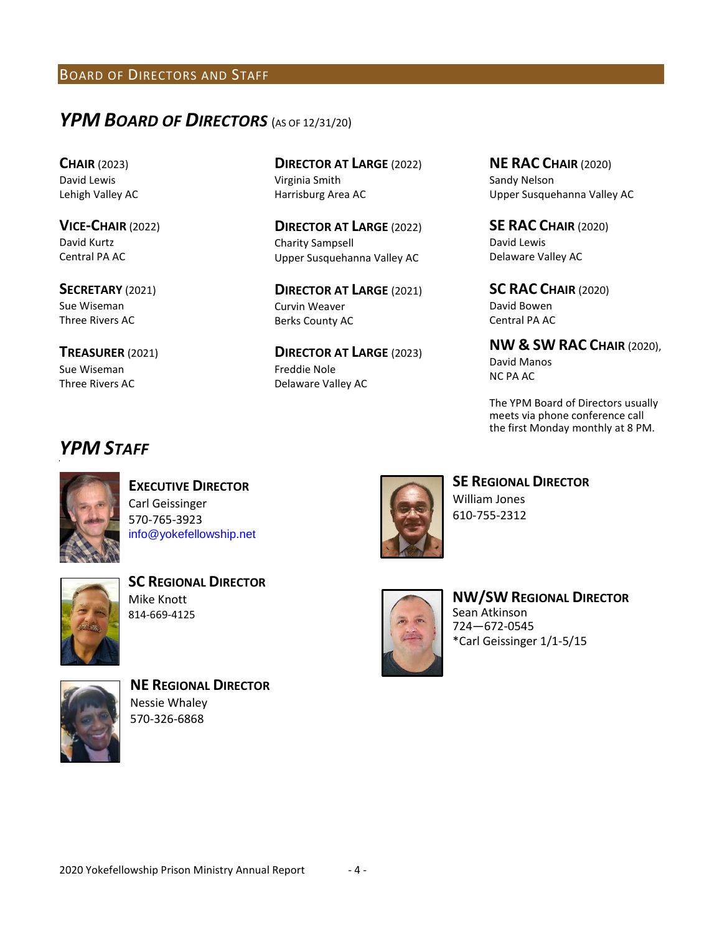#### BOARD OF DIRECTORS AND STAFF

## *YPM BOARD OF DIRECTORS* (AS OF 12/31/20)

**CHAIR** (2023) David Lewis Lehigh Valley AC

**VICE-CHAIR** (2022) David Kurtz Central PA AC

**SECRETARY** (2021) Sue Wiseman Three Rivers AC

**TREASURER** (2021) Sue Wiseman Three Rivers AC

**DIRECTOR AT LARGE** (2022) Virginia Smith Harrisburg Area AC

**DIRECTOR AT LARGE** (2022) Charity Sampsell Upper Susquehanna Valley AC

**DIRECTOR AT LARGE** (2021) Curvin Weaver Berks County AC

**DIRECTOR AT LARGE** (2023) Freddie Nole Delaware Valley AC

**NE RAC CHAIR** (2020) Sandy Nelson Upper Susquehanna Valley AC

**SE RAC CHAIR** (2020) David Lewis Delaware Valley AC

**SC RAC CHAIR** (2020) David Bowen Central PA AC

#### **NW & SW RAC CHAIR** (2020),

David Manos NC PA AC

The YPM Board of Directors usually meets via phone conference call the first Monday monthly at 8 PM.

## *YPM STAFF*



**EXECUTIVE DIRECTOR** Carl Geissinger 570-765-3923 info@yokefellowship.net



**SC REGIONAL DIRECTOR** Mike Knott 814-669-4125



**NE REGIONAL DIRECTOR** Nessie Whaley 570-326-6868



**SE REGIONAL DIRECTOR** William Jones 610-755-2312



**NW/SW REGIONAL DIRECTOR** Sean Atkinson 724—672-0545 \*Carl Geissinger 1/1-5/15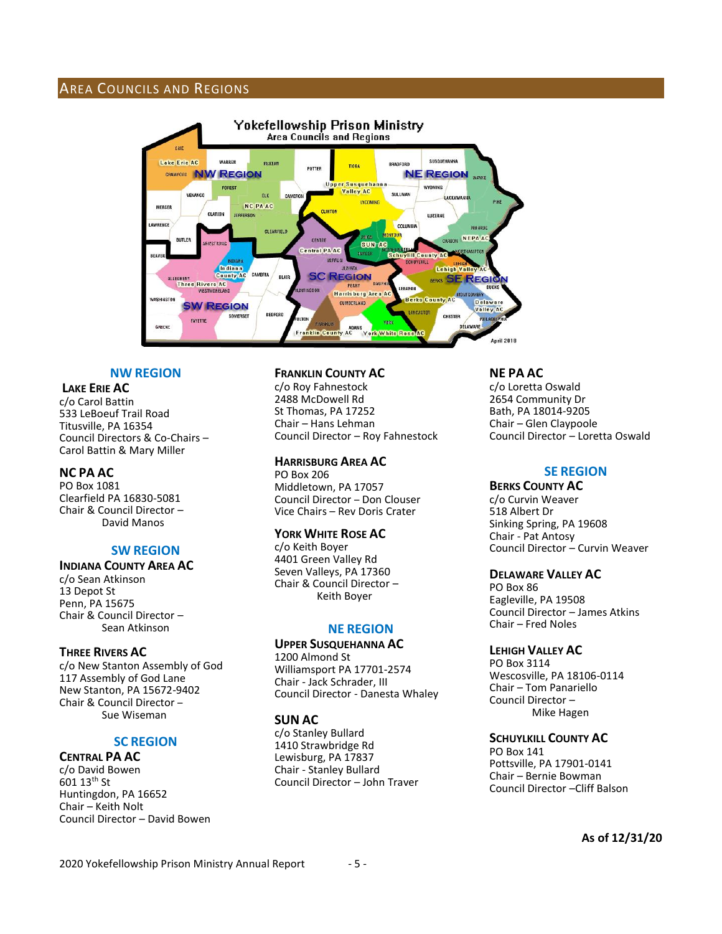#### AREA COUNCILS AND REGIONS



#### **NW REGION**

#### **LAKE ERIE AC**

c/o Carol Battin 533 LeBoeuf Trail Road Titusville, PA 16354 Council Directors & Co-Chairs – Carol Battin & Mary Miller

#### **NC PA AC**

PO Box 1081 Clearfield PA 16830-5081 Chair & Council Director – David Manos

#### **SW REGION**

#### **INDIANA COUNTY AREA AC**

c/o Sean Atkinson 13 Depot St Penn, PA 15675 Chair & Council Director – Sean Atkinson

#### **THREE RIVERS AC**

c/o New Stanton Assembly of God 117 Assembly of God Lane New Stanton, PA 15672-9402 Chair & Council Director – Sue Wiseman

#### **SC REGION**

**CENTRAL PA AC** c/o David Bowen 601 13th St Huntingdon, PA 16652 Chair – Keith Nolt Council Director – David Bowen

#### **FRANKLIN COUNTY AC**

c/o Roy Fahnestock 2488 McDowell Rd St Thomas, PA 17252 Chair – Hans Lehman Council Director – Roy Fahnestock

#### **HARRISBURG AREA AC**

PO Box 206 Middletown, PA 17057 Council Director – Don Clouser Vice Chairs – Rev Doris Crater

#### **YORK WHITE ROSE AC**

c/o Keith Boyer 4401 Green Valley Rd Seven Valleys, PA 17360 Chair & Council Director – Keith Boyer

#### **NE REGION**

#### **UPPER SUSQUEHANNA AC**

1200 Almond St Williamsport PA 17701-2574 Chair - Jack Schrader, III Council Director - Danesta Whaley

#### **SUN AC**

c/o Stanley Bullard 1410 Strawbridge Rd Lewisburg, PA 17837 Chair - Stanley Bullard Council Director – John Traver **NE PA AC**

c/o Loretta Oswald 2654 Community Dr Bath, PA 18014-9205 Chair – Glen Claypoole Council Director – Loretta Oswald

#### **SE REGION**

#### **BERKS COUNTY AC**

c/o Curvin Weaver 518 Albert Dr Sinking Spring, PA 19608 Chair - Pat Antosy Council Director – Curvin Weaver

#### **DELAWARE VALLEY AC**

PO Box 86 Eagleville, PA 19508 Council Director – James Atkins Chair – Fred Noles

#### **LEHIGH VALLEY AC**

PO Box 3114 Wescosville, PA 18106-0114 Chair – Tom Panariello Council Director – Mike Hagen

#### **SCHUYLKILL COUNTY AC**

PO Box 141 Pottsville, PA 17901-0141 Chair – Bernie Bowman Council Director –Cliff Balson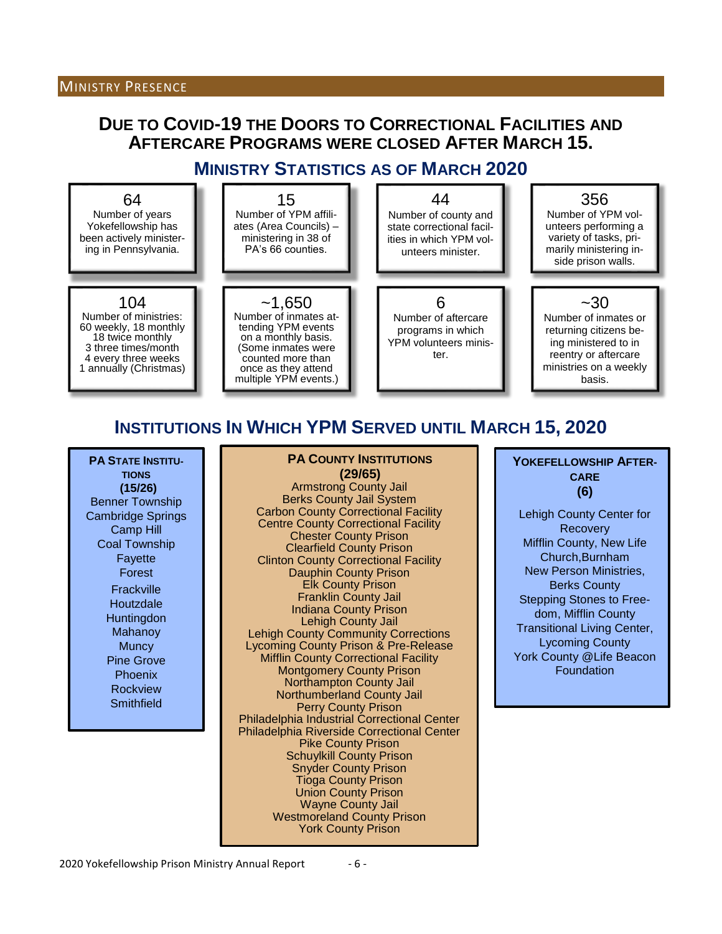#### MINISTRY PRESENCE

## **DUE TO COVID-19 THE DOORS TO CORRECTIONAL FACILITIES AND AFTERCARE PROGRAMS WERE CLOSED AFTER MARCH 15.**

## **MINISTRY STATISTICS AS OF MARCH 2020**



## **INSTITUTIONS IN WHICH YPM SERVED UNTIL MARCH 15, 2020**

**PA COUNTY INSTITUTIONS** 

**PA STATE INSTITU-TIONS (15/26)** Benner Township Cambridge Springs Camp Hill Coal Township Fayette Forest **Frackville Houtzdale Huntingdon** Mahanoy **Muncy** Pine Grove Phoenix Rockview **Smithfield** 

**(29/65)** Armstrong County Jail Berks County Jail System Carbon County Correctional Facility Centre County Correctional Facility Chester County Prison Clearfield County Prison Clinton County Correctional Facility Dauphin County Prison Elk County Prison Franklin County Jail Indiana County Prison Lehigh County Jail Lehigh County Community Corrections Lycoming County Prison & Pre-Release Mifflin County Correctional Facility Montgomery County Prison Northampton County Jail Northumberland County Jail Perry County Prison Philadelphia Industrial Correctional Center Philadelphia Riverside Correctional Center Pike County Prison Schuylkill County Prison Snyder County Prison Tioga County Prison Union County Prison Wayne County Jail Westmoreland County Prison York County Prison

**YOKEFELLOWSHIP AFTER-CARE (6)**

Lehigh County Center for **Recovery** Mifflin County, New Life Church,Burnham New Person Ministries, Berks County Stepping Stones to Freedom, Mifflin County Transitional Living Center, Lycoming County York County @Life Beacon Foundation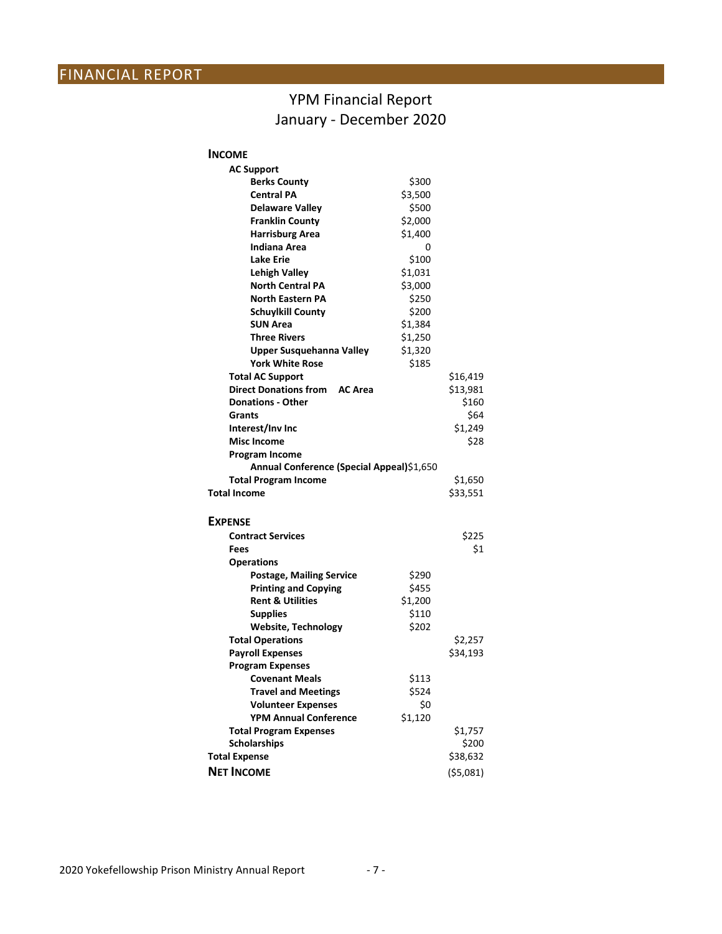## YPM Financial Report January - December 2020

| <b>INCOME</b>                             |         |            |
|-------------------------------------------|---------|------------|
| <b>AC Support</b>                         |         |            |
| <b>Berks County</b>                       | \$300   |            |
| <b>Central PA</b>                         | \$3,500 |            |
| <b>Delaware Valley</b>                    | \$500   |            |
| <b>Franklin County</b>                    | \$2,000 |            |
| <b>Harrisburg Area</b>                    | \$1,400 |            |
| Indiana Area                              | 0       |            |
| <b>Lake Erie</b>                          | \$100   |            |
| <b>Lehigh Valley</b>                      | \$1,031 |            |
| <b>North Central PA</b>                   | \$3,000 |            |
| <b>North Eastern PA</b>                   | \$250   |            |
| <b>Schuylkill County</b>                  | \$200   |            |
| <b>SUN Area</b>                           | \$1,384 |            |
| <b>Three Rivers</b>                       | \$1,250 |            |
| <b>Upper Susquehanna Valley</b>           | \$1,320 |            |
| <b>York White Rose</b>                    | \$185   |            |
| <b>Total AC Support</b>                   |         | \$16,419   |
| <b>Direct Donations from</b><br>AC Area   |         | \$13,981   |
| <b>Donations - Other</b>                  |         | \$160      |
| Grants                                    |         | \$64       |
| Interest/Inv Inc                          |         | \$1,249    |
| <b>Misc Income</b>                        |         | \$28       |
| Program Income                            |         |            |
| Annual Conference (Special Appeal)\$1,650 |         |            |
| <b>Total Program Income</b>               |         | \$1,650    |
| <b>Total Income</b>                       |         | \$33,551   |
|                                           |         |            |
| <b>EXPENSE</b>                            |         |            |
| <b>Contract Services</b>                  |         | \$225      |
| Fees                                      |         | \$1        |
| <b>Operations</b>                         |         |            |
| <b>Postage, Mailing Service</b>           | \$290   |            |
| <b>Printing and Copying</b>               | \$455   |            |
| <b>Rent &amp; Utilities</b>               | \$1,200 |            |
| <b>Supplies</b>                           | \$110   |            |
| <b>Website, Technology</b>                | \$202   |            |
| <b>Total Operations</b>                   |         | \$2,257    |
| <b>Payroll Expenses</b>                   |         | \$34,193   |
| <b>Program Expenses</b>                   |         |            |
| <b>Covenant Meals</b>                     | \$113   |            |
| <b>Travel and Meetings</b>                | \$524   |            |
| <b>Volunteer Expenses</b>                 | \$0     |            |
| <b>YPM Annual Conference</b>              | \$1,120 |            |
| <b>Total Program Expenses</b>             |         | \$1,757    |
| <b>Scholarships</b>                       |         | \$200      |
| <b>Total Expense</b>                      |         | \$38,632   |
| <b>NET INCOME</b>                         |         | ( \$5,081) |
|                                           |         |            |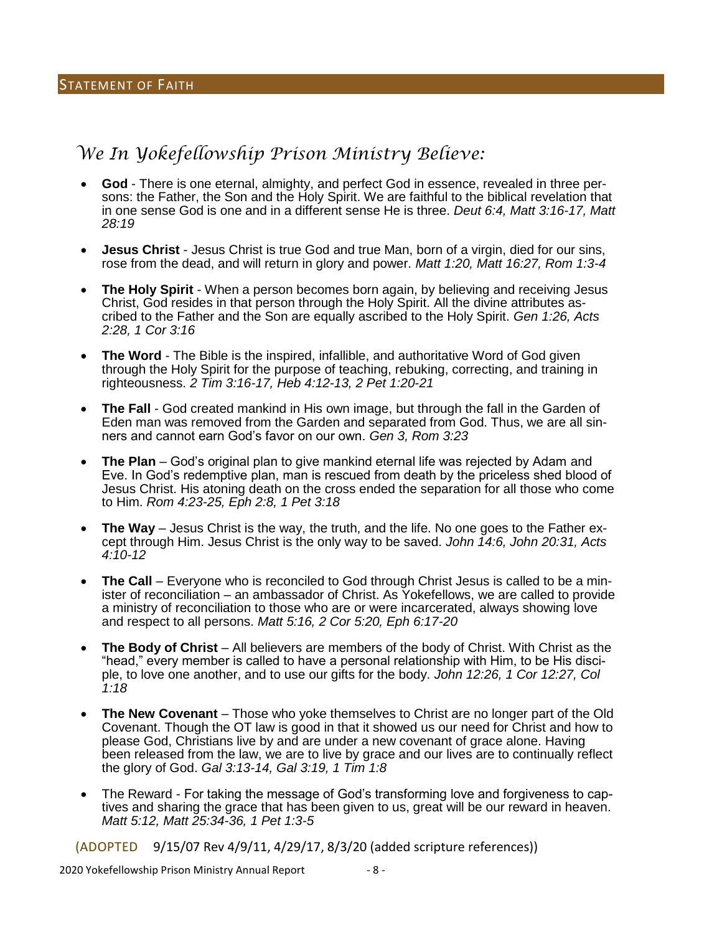## *We In Yokefellowship Prison Ministry Believe:*

- **God** There is one eternal, almighty, and perfect God in essence, revealed in three persons: the Father, the Son and the Holy Spirit. We are faithful to the biblical revelation that in one sense God is one and in a different sense He is three. *Deut 6:4, Matt 3:16-17, Matt 28:19*
- **Jesus Christ** Jesus Christ is true God and true Man, born of a virgin, died for our sins, rose from the dead, and will return in glory and power. *Matt 1:20, Matt 16:27, Rom 1:3-4*
- **The Holy Spirit** When a person becomes born again, by believing and receiving Jesus Christ, God resides in that person through the Holy Spirit. All the divine attributes ascribed to the Father and the Son are equally ascribed to the Holy Spirit. *Gen 1:26, Acts 2:28, 1 Cor 3:16*
- **The Word** The Bible is the inspired, infallible, and authoritative Word of God given through the Holy Spirit for the purpose of teaching, rebuking, correcting, and training in righteousness. *2 Tim 3:16-17, Heb 4:12-13, 2 Pet 1:20-21*
- **The Fall** God created mankind in His own image, but through the fall in the Garden of Eden man was removed from the Garden and separated from God. Thus, we are all sinners and cannot earn God's favor on our own. *Gen 3, Rom 3:23*
- **The Plan** God's original plan to give mankind eternal life was rejected by Adam and Eve. In God's redemptive plan, man is rescued from death by the priceless shed blood of Jesus Christ. His atoning death on the cross ended the separation for all those who come to Him. *Rom 4:23-25, Eph 2:8, 1 Pet 3:18*
- **The Way** Jesus Christ is the way, the truth, and the life. No one goes to the Father except through Him. Jesus Christ is the only way to be saved. *John 14:6, John 20:31, Acts 4:10-12*
- **The Call** Everyone who is reconciled to God through Christ Jesus is called to be a minister of reconciliation – an ambassador of Christ. As Yokefellows, we are called to provide a ministry of reconciliation to those who are or were incarcerated, always showing love and respect to all persons. *Matt 5:16, 2 Cor 5:20, Eph 6:17-20*
- **The Body of Christ** All believers are members of the body of Christ. With Christ as the "head," every member is called to have a personal relationship with Him, to be His disciple, to love one another, and to use our gifts for the body. *John 12:26, 1 Cor 12:27, Col 1:18*
- **The New Covenant** Those who yoke themselves to Christ are no longer part of the Old Covenant. Though the OT law is good in that it showed us our need for Christ and how to please God, Christians live by and are under a new covenant of grace alone. Having been released from the law, we are to live by grace and our lives are to continually reflect the glory of God. *Gal 3:13-14, Gal 3:19, 1 Tim 1:8*
- The Reward For taking the message of God's transforming love and forgiveness to captives and sharing the grace that has been given to us, great will be our reward in heaven. *Matt 5:12, Matt 25:34-36, 1 Pet 1:3-5*

(ADOPTED 9/15/07 Rev 4/9/11, 4/29/17, 8/3/20 (added scripture references))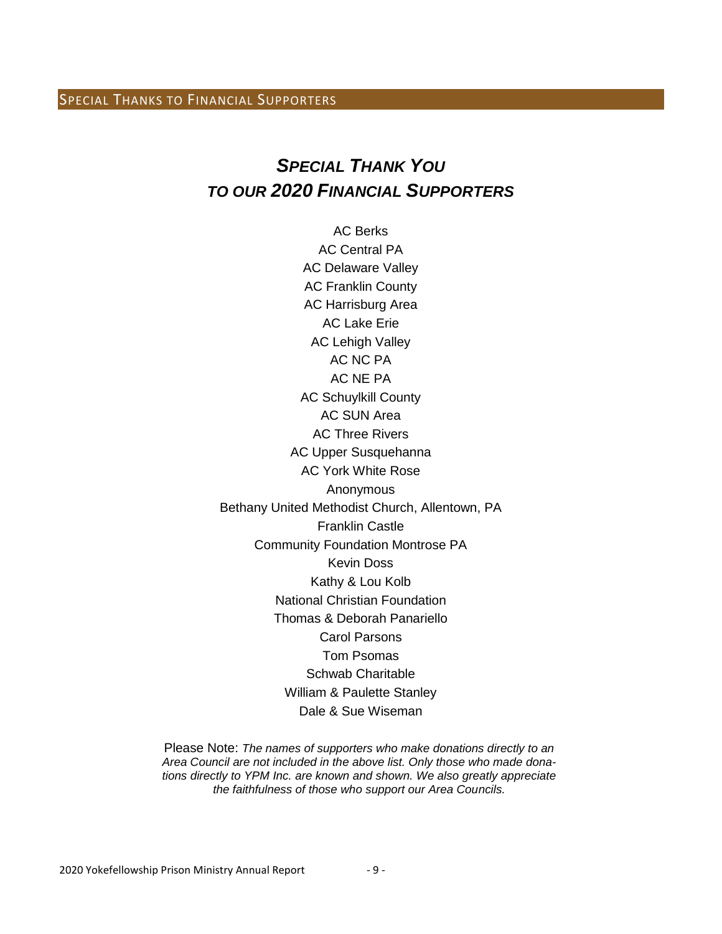#### SPECIAL THANKS TO FINANCIAL SUPPORTERS

## *SPECIAL THANK YOU TO OUR 2020 FINANCIAL SUPPORTERS*

AC Berks AC Central PA AC Delaware Valley AC Franklin County AC Harrisburg Area AC Lake Erie AC Lehigh Valley AC NC PA AC NE PA AC Schuylkill County AC SUN Area AC Three Rivers AC Upper Susquehanna AC York White Rose Anonymous Bethany United Methodist Church, Allentown, PA Franklin Castle Community Foundation Montrose PA Kevin Doss Kathy & Lou Kolb National Christian Foundation Thomas & Deborah Panariello Carol Parsons Tom Psomas Schwab Charitable William & Paulette Stanley Dale & Sue Wiseman

Please Note: *The names of supporters who make donations directly to an Area Council are not included in the above list. Only those who made donations directly to YPM Inc. are known and shown. We also greatly appreciate the faithfulness of those who support our Area Councils.*